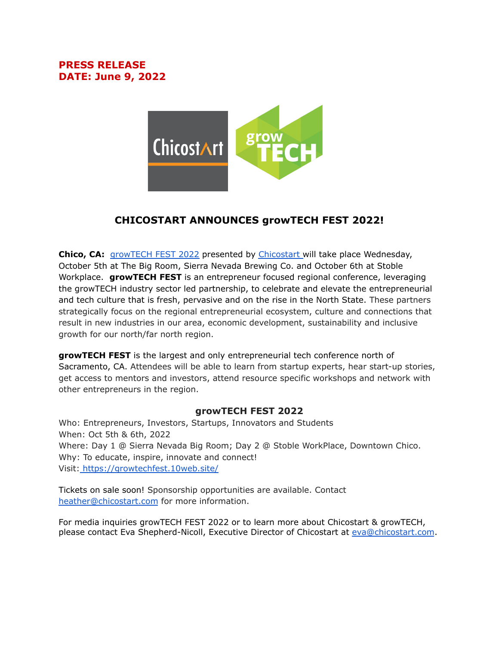## **PRESS RELEASE DATE: June 9, 2022**



## **CHICOSTART ANNOUNCES growTECH FEST 2022!**

**Chico, CA:** [growTECH](https://growtechfest.10web.site/) FEST 2022 presented by [Chicostart](https://chicostart.com/) will take place Wednesday, October 5th at The Big Room, Sierra Nevada Brewing Co. and October 6th at Stoble Workplace. **growTECH FEST** is an entrepreneur focused regional conference, leveraging the growTECH industry sector led partnership, to celebrate and elevate the entrepreneurial and tech culture that is fresh, pervasive and on the rise in the North State. These partners strategically focus on the regional entrepreneurial ecosystem, culture and connections that result in new industries in our area, economic development, sustainability and inclusive growth for our north/far north region.

**growTECH FEST** is the largest and only entrepreneurial tech conference north of Sacramento, CA. Attendees will be able to learn from startup experts, hear start-up stories, get access to mentors and investors, attend resource specific workshops and network with other entrepreneurs in the region.

## **growTECH FEST 2022**

Who: Entrepreneurs, Investors, Startups, Innovators and Students When: Oct 5th & 6th, 2022 Where: Day 1 @ Sierra Nevada Big Room; Day 2 @ Stoble WorkPlace, Downtown Chico. Why: To educate, inspire, innovate and connect! Visit: [https://growtechfest.10web.site/](https://www.eventbrite.com/e/growtech-fest-2019-oct-8-10-tickets-66395517781)

Tickets on sale soon! Sponsorship opportunities are available. Contact [heather@chicostart.com](mailto:heather@chicostart.com) for more information.

For media inquiries growTECH FEST 2022 or to learn more about Chicostart & growTECH, please contact Eva Shepherd-Nicoll, Executive Director of Chicostart at [eva@chicostart.com](mailto:eva@chicostart.com).